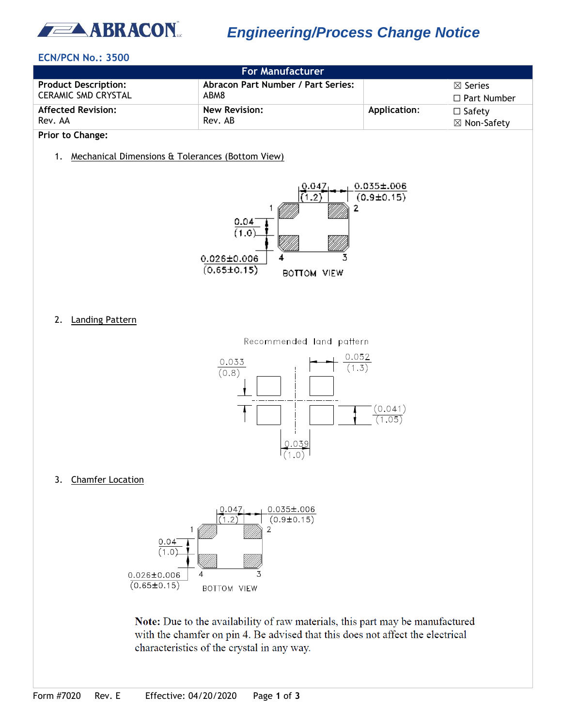

# *Engineering/Process Change Notice*

## **ECN/PCN No.: 3500**

| <b>For Manufacturer</b>     |                                    |              |                    |  |
|-----------------------------|------------------------------------|--------------|--------------------|--|
| <b>Product Description:</b> | Abracon Part Number / Part Series: |              | $\boxtimes$ Series |  |
| <b>CERAMIC SMD CRYSTAL</b>  | ABM8                               |              | $\Box$ Part Number |  |
| <b>Affected Revision:</b>   | <b>New Revision:</b>               | Application: | $\Box$ Safety      |  |
| Rev. AA                     | Rev. AB                            |              | ⊠ Non-Safety       |  |

**Prior to Change:**

1. Mechanical Dimensions & Tolerances (Bottom View)



2. Landing Pattern



3. Chamfer Location



Note: Due to the availability of raw materials, this part may be manufactured with the chamfer on pin 4. Be advised that this does not affect the electrical characteristics of the crystal in any way.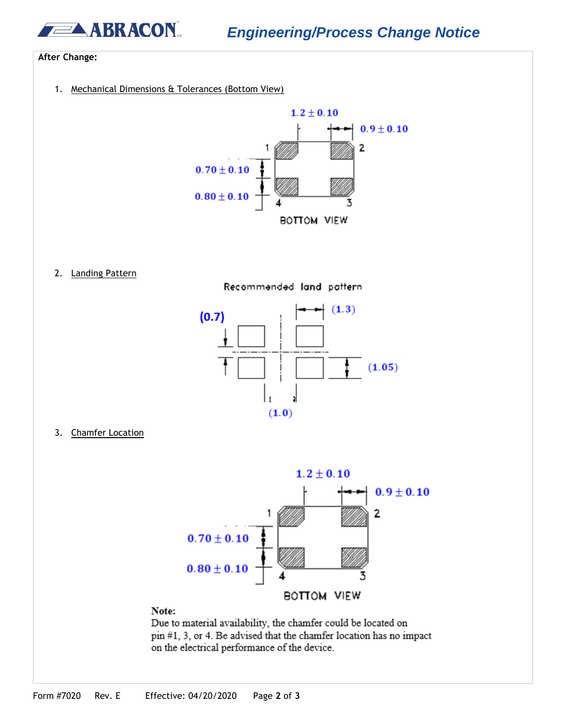**BRACON** 

### **After Change:**

1. Mechanical Dimensions & Tolerances (Bottom View)



2. Landing Pattern





3. Chamfer Location



#### Note:

Due to material availability, the chamfer could be located on pin #1, 3, or 4. Be advised that the chamfer location has no impact on the electrical performance of the device.